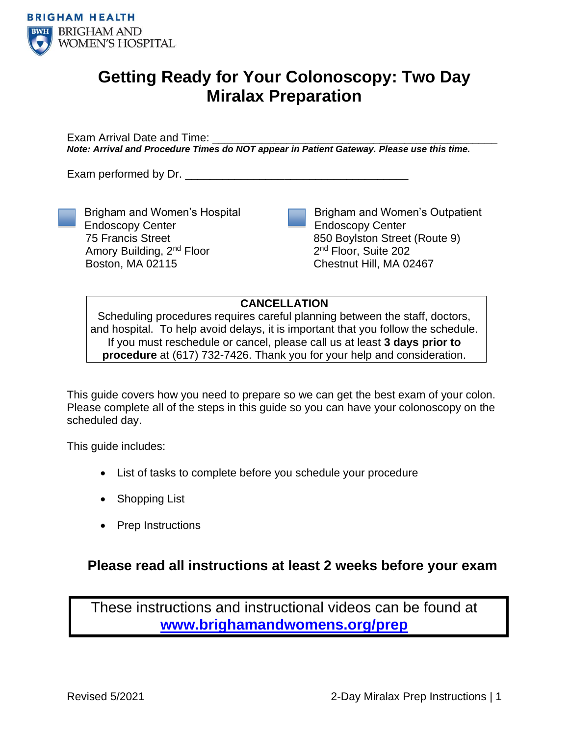

# **Getting Ready for Your Colonoscopy: Two Day Miralax Preparation**

Exam Arrival Date and Time: *Note: Arrival and Procedure Times do NOT appear in Patient Gateway. Please use this time.*

Exam performed by Dr.

Endoscopy Center 75 Francis Street

Boston, MA 02115

Brigham and Women's Hospital

Amory Building, 2nd Floor

Brigham and Women's Outpatient Endoscopy Center 850 Boylston Street (Route 9) 2<sup>nd</sup> Floor, Suite 202 Chestnut Hill, MA 02467

**CANCELLATION**

Scheduling procedures requires careful planning between the staff, doctors, and hospital. To help avoid delays, it is important that you follow the schedule. If you must reschedule or cancel, please call us at least **3 days prior to procedure** at (617) 732-7426. Thank you for your help and consideration.

This guide covers how you need to prepare so we can get the best exam of your colon. Please complete all of the steps in this guide so you can have your colonoscopy on the scheduled day.

This guide includes:

- List of tasks to complete before you schedule your procedure
- Shopping List
- Prep Instructions

## **Please read all instructions at least 2 weeks before your exam**

These instructions and instructional videos can be found at **[www.brighamandwomens.org/prep](http://www.brighamandwomens.org/prep)**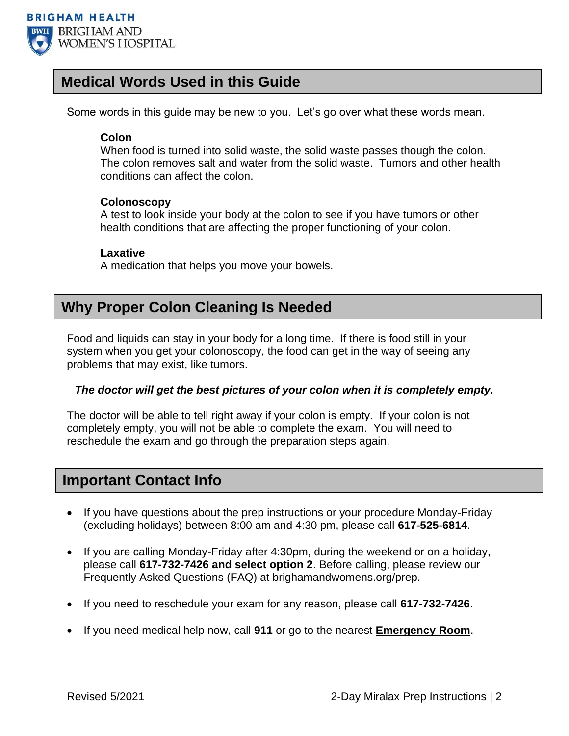

# **Medical Words Used in this Guide**

Some words in this guide may be new to you. Let's go over what these words mean.

## **Colon**

When food is turned into solid waste, the solid waste passes though the colon. The colon removes salt and water from the solid waste. Tumors and other health conditions can affect the colon.

### **Colonoscopy**

A test to look inside your body at the colon to see if you have tumors or other health conditions that are affecting the proper functioning of your colon.

### **Laxative**

A medication that helps you move your bowels.

# **Why Proper Colon Cleaning Is Needed**

Food and liquids can stay in your body for a long time. If there is food still in your system when you get your colonoscopy, the food can get in the way of seeing any problems that may exist, like tumors.

## *The doctor will get the best pictures of your colon when it is completely empty.*

The doctor will be able to tell right away if your colon is empty. If your colon is not completely empty, you will not be able to complete the exam. You will need to reschedule the exam and go through the preparation steps again.

## **Important Contact Info**

- If you have questions about the prep instructions or your procedure Monday-Friday (excluding holidays) between 8:00 am and 4:30 pm, please call **617-525-6814**.
- If you are calling Monday-Friday after 4:30pm, during the weekend or on a holiday, please call **617-732-7426 and select option 2**. Before calling, please review our Frequently Asked Questions (FAQ) at brighamandwomens.org/prep.
- If you need to reschedule your exam for any reason, please call **617-732-7426**.
- If you need medical help now, call **911** or go to the nearest **Emergency Room**.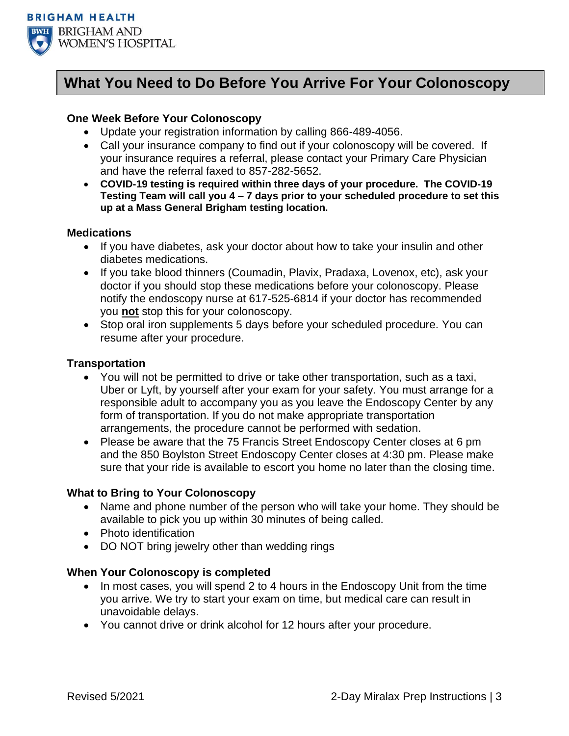

# **What You Need to Do Before You Arrive For Your Colonoscopy**

## **One Week Before Your Colonoscopy**

- Update your registration information by calling 866-489-4056.
- Call your insurance company to find out if your colonoscopy will be covered. If your insurance requires a referral, please contact your Primary Care Physician and have the referral faxed to 857-282-5652.
- **COVID-19 testing is required within three days of your procedure. The COVID-19 Testing Team will call you 4 – 7 days prior to your scheduled procedure to set this up at a Mass General Brigham testing location.**

#### **Medications**

- If you have diabetes, ask your doctor about how to take your insulin and other diabetes medications.
- If you take blood thinners (Coumadin, Plavix, Pradaxa, Lovenox, etc), ask your doctor if you should stop these medications before your colonoscopy. Please notify the endoscopy nurse at 617-525-6814 if your doctor has recommended you **not** stop this for your colonoscopy.
- Stop oral iron supplements 5 days before your scheduled procedure. You can resume after your procedure.

#### **Transportation**

- You will not be permitted to drive or take other transportation, such as a taxi, Uber or Lyft, by yourself after your exam for your safety. You must arrange for a responsible adult to accompany you as you leave the Endoscopy Center by any form of transportation. If you do not make appropriate transportation arrangements, the procedure cannot be performed with sedation.
- Please be aware that the 75 Francis Street Endoscopy Center closes at 6 pm and the 850 Boylston Street Endoscopy Center closes at 4:30 pm. Please make sure that your ride is available to escort you home no later than the closing time.

### **What to Bring to Your Colonoscopy**

- Name and phone number of the person who will take your home. They should be available to pick you up within 30 minutes of being called.
- Photo identification
- DO NOT bring jewelry other than wedding rings

## **When Your Colonoscopy is completed**

- In most cases, you will spend 2 to 4 hours in the Endoscopy Unit from the time you arrive. We try to start your exam on time, but medical care can result in unavoidable delays.
- You cannot drive or drink alcohol for 12 hours after your procedure.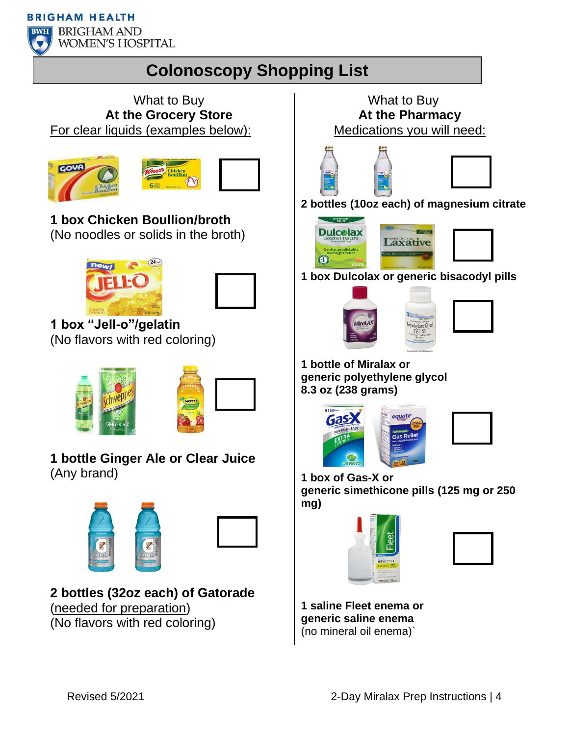**BRIGHAM HEALTH** 



**BRIGHAM AND WOMEN'S HOSPITAL** 

# **Colonoscopy Shopping List**

What to Buy **At the Grocery Store** For clear liquids (examples below):





**1 box Chicken Boullion/broth** (No noodles or solids in the broth)



**1 box "Jell-o"/gelatin** (No flavors with red coloring)



**1 bottle Ginger Ale or Clear Juice**  (Any brand)



**2 bottles (32oz each) of Gatorade**  (needed for preparation) (No flavors with red coloring)

What to Buy **At the Pharmacy** Medications you will need:





**2 bottles (10oz each) of magnesium citrate**

**PARTING** 





**1 box Dulcolax or generic bisacodyl pills**



**1 bottle of Miralax or generic polyethylene glycol 8.3 oz (238 grams)**



**1 box of Gas-X or generic simethicone pills (125 mg or 250 mg)**





**1 saline Fleet enema or generic saline enema**  (no mineral oil enema)`